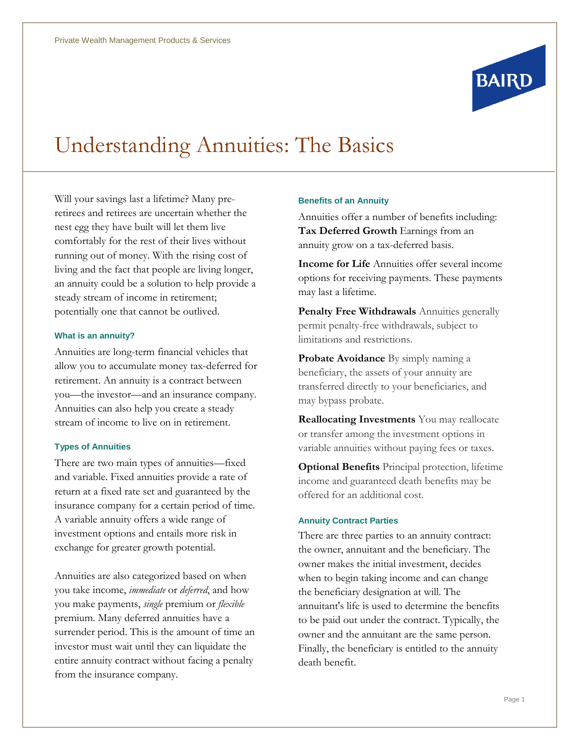

# Understanding Annuities: The Basics

Will your savings last a lifetime? Many preretirees and retirees are uncertain whether the nest egg they have built will let them live comfortably for the rest of their lives without running out of money. With the rising cost of living and the fact that people are living longer, an annuity could be a solution to help provide a steady stream of income in retirement; potentially one that cannot be outlived.

#### **What is an annuity?**

Annuities are long-term financial vehicles that allow you to accumulate money tax-deferred for retirement. An annuity is a contract between you—the investor—and an insurance company. Annuities can also help you create a steady stream of income to live on in retirement.

#### **Types of Annuities**

There are two main types of annuities—fixed and variable. Fixed annuities provide a rate of return at a fixed rate set and guaranteed by the insurance company for a certain period of time. A variable annuity offers a wide range of investment options and entails more risk in exchange for greater growth potential.

Annuities are also categorized based on when you take income, *immediate* or *deferred*, and how you make payments, *single* premium or *flexible*  premium. Many deferred annuities have a surrender period. This is the amount of time an investor must wait until they can liquidate the entire annuity contract without facing a penalty from the insurance company.

#### **Benefits of an Annuity**

Annuities offer a number of benefits including: **Tax Deferred Growth** Earnings from an annuity grow on a tax-deferred basis.

**Income for Life** Annuities offer several income options for receiving payments. These payments may last a lifetime.

**Penalty Free Withdrawals** Annuities generally permit penalty-free withdrawals, subject to limitations and restrictions.

**Probate Avoidance** By simply naming a beneficiary, the assets of your annuity are transferred directly to your beneficiaries, and may bypass probate.

**Reallocating Investments** You may reallocate or transfer among the investment options in variable annuities without paying fees or taxes.

**Optional Benefits** Principal protection, lifetime income and guaranteed death benefits may be offered for an additional cost.

#### **Annuity Contract Parties**

There are three parties to an annuity contract: the owner, annuitant and the beneficiary. The owner makes the initial investment, decides when to begin taking income and can change the beneficiary designation at will. The annuitant's life is used to determine the benefits to be paid out under the contract. Typically, the owner and the annuitant are the same person. Finally, the beneficiary is entitled to the annuity death benefit.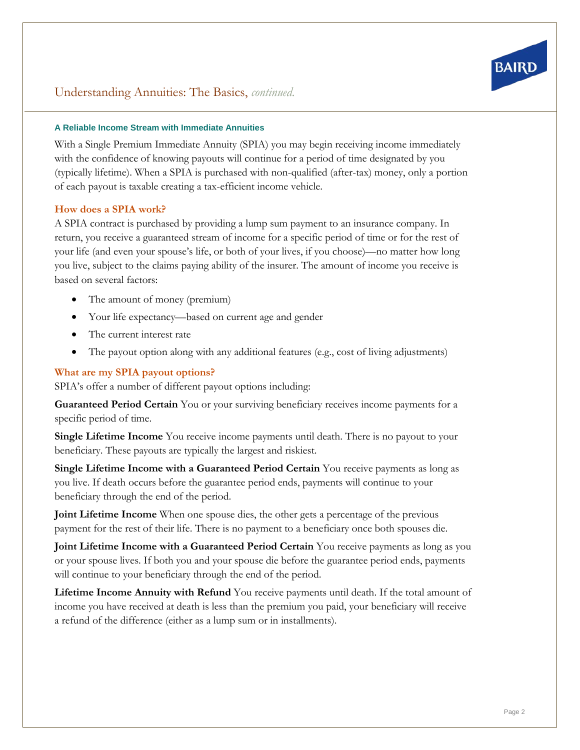# **A Reliable Income Stream with Immediate Annuities**

With a Single Premium Immediate Annuity (SPIA) you may begin receiving income immediately with the confidence of knowing payouts will continue for a period of time designated by you (typically lifetime). When a SPIA is purchased with non-qualified (after-tax) money, only a portion of each payout is taxable creating a tax-efficient income vehicle.

# **How does a SPIA work?**

A SPIA contract is purchased by providing a lump sum payment to an insurance company. In return, you receive a guaranteed stream of income for a specific period of time or for the rest of your life (and even your spouse's life, or both of your lives, if you choose)—no matter how long you live, subject to the claims paying ability of the insurer. The amount of income you receive is based on several factors:

- The amount of money (premium)
- Your life expectancy—based on current age and gender
- The current interest rate
- The payout option along with any additional features (e.g., cost of living adjustments)

# **What are my SPIA payout options?**

SPIA's offer a number of different payout options including:

**Guaranteed Period Certain** You or your surviving beneficiary receives income payments for a specific period of time.

**Single Lifetime Income** You receive income payments until death. There is no payout to your beneficiary. These payouts are typically the largest and riskiest.

**Single Lifetime Income with a Guaranteed Period Certain** You receive payments as long as you live. If death occurs before the guarantee period ends, payments will continue to your beneficiary through the end of the period.

**Joint Lifetime Income** When one spouse dies, the other gets a percentage of the previous payment for the rest of their life. There is no payment to a beneficiary once both spouses die.

**Joint Lifetime Income with a Guaranteed Period Certain** You receive payments as long as you or your spouse lives. If both you and your spouse die before the guarantee period ends, payments will continue to your beneficiary through the end of the period.

**Lifetime Income Annuity with Refund** You receive payments until death. If the total amount of income you have received at death is less than the premium you paid, your beneficiary will receive a refund of the difference (either as a lump sum or in installments).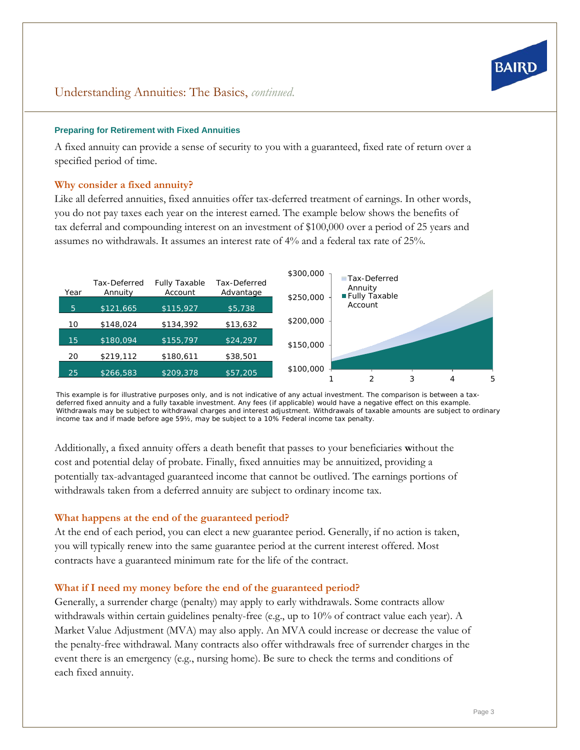

### **Preparing for Retirement with Fixed Annuities**

A fixed annuity can provide a sense of security to you with a guaranteed, fixed rate of return over a specified period of time.

# **Why consider a fixed annuity?**

Like all deferred annuities, fixed annuities offer tax-deferred treatment of earnings. In other words, you do not pay taxes each year on the interest earned. The example below shows the benefits of tax deferral and compounding interest on an investment of \$100,000 over a period of 25 years and assumes no withdrawals. It assumes an interest rate of 4% and a federal tax rate of 25%.



*This example is for illustrative purposes only, and is not indicative of any actual investment. The comparison is between a taxdeferred fixed annuity and a fully taxable investment. Any fees (if applicable) would have a negative effect on this example. Withdrawals may be subject to withdrawal charges and interest adjustment. Withdrawals of taxable amounts are subject to ordinary income tax and if made before age 59½, may be subject to a 10% Federal income tax penalty.*

Additionally, a fixed annuity offers a death benefit that passes to your beneficiaries **w**ithout the cost and potential delay of probate. Finally, fixed annuities may be annuitized, providing a potentially tax-advantaged guaranteed income that cannot be outlived. The earnings portions of withdrawals taken from a deferred annuity are subject to ordinary income tax.

#### **What happens at the end of the guaranteed period?**

At the end of each period, you can elect a new guarantee period. Generally, if no action is taken, you will typically renew into the same guarantee period at the current interest offered. Most contracts have a guaranteed minimum rate for the life of the contract.

#### **What if I need my money before the end of the guaranteed period?**

Generally, a surrender charge (penalty) may apply to early withdrawals. Some contracts allow withdrawals within certain guidelines penalty-free (e.g., up to 10% of contract value each year). A Market Value Adjustment (MVA) may also apply. An MVA could increase or decrease the value of the penalty-free withdrawal. Many contracts also offer withdrawals free of surrender charges in the event there is an emergency (e.g., nursing home). Be sure to check the terms and conditions of each fixed annuity.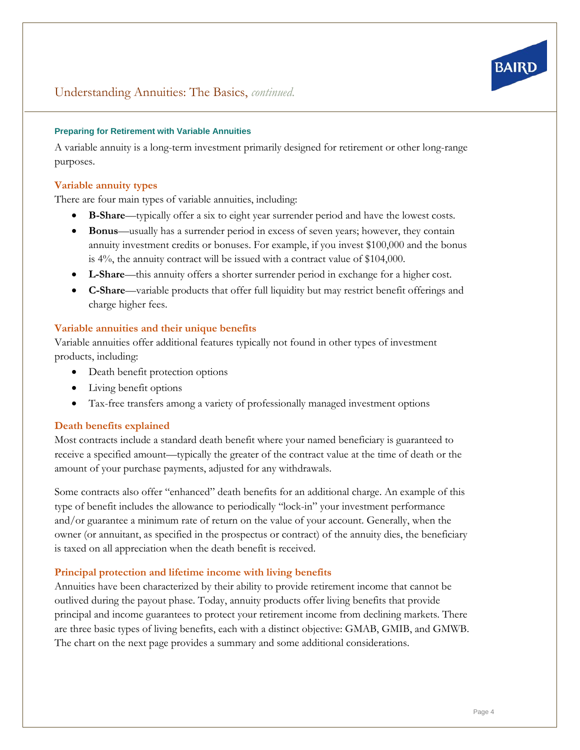

### **Preparing for Retirement with Variable Annuities**

A variable annuity is a long-term investment primarily designed for retirement or other long-range purposes.

### **Variable annuity types**

There are four main types of variable annuities, including:

- **B-Share**—typically offer a six to eight year surrender period and have the lowest costs.
- **Bonus**—usually has a surrender period in excess of seven years; however, they contain annuity investment credits or bonuses. For example, if you invest \$100,000 and the bonus is 4%, the annuity contract will be issued with a contract value of \$104,000.
- **L-Share**—this annuity offers a shorter surrender period in exchange for a higher cost.
- **C-Share**—variable products that offer full liquidity but may restrict benefit offerings and charge higher fees.

#### **Variable annuities and their unique benefits**

Variable annuities offer additional features typically not found in other types of investment products, including:

- Death benefit protection options
- Living benefit options
- Tax-free transfers among a variety of professionally managed investment options

#### **Death benefits explained**

Most contracts include a standard death benefit where your named beneficiary is guaranteed to receive a specified amount—typically the greater of the contract value at the time of death or the amount of your purchase payments, adjusted for any withdrawals.

Some contracts also offer "enhanced" death benefits for an additional charge. An example of this type of benefit includes the allowance to periodically "lock-in" your investment performance and/or guarantee a minimum rate of return on the value of your account. Generally, when the owner (or annuitant, as specified in the prospectus or contract) of the annuity dies, the beneficiary is taxed on all appreciation when the death benefit is received.

# **Principal protection and lifetime income with living benefits**

Annuities have been characterized by their ability to provide retirement income that cannot be outlived during the payout phase. Today, annuity products offer living benefits that provide principal and income guarantees to protect your retirement income from declining markets. There are three basic types of living benefits, each with a distinct objective: GMAB, GMIB, and GMWB. The chart on the next page provides a summary and some additional considerations.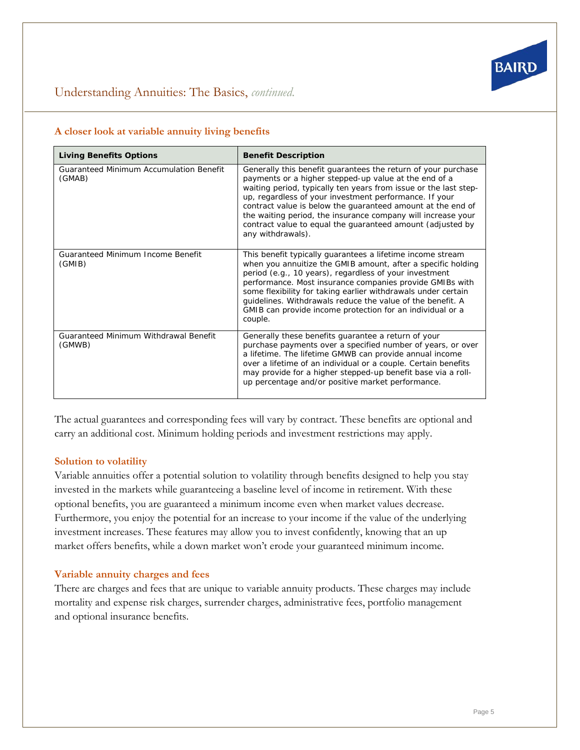

# Understanding Annuities: The Basics, *continued.*

# **A closer look at variable annuity living benefits**

| <b>Living Benefits Options</b>                           | <b>Benefit Description</b>                                                                                                                                                                                                                                                                                                                                                                                                                                             |
|----------------------------------------------------------|------------------------------------------------------------------------------------------------------------------------------------------------------------------------------------------------------------------------------------------------------------------------------------------------------------------------------------------------------------------------------------------------------------------------------------------------------------------------|
| <b>Guaranteed Minimum Accumulation Benefit</b><br>(GMAB) | Generally this benefit quarantees the return of your purchase<br>payments or a higher stepped-up value at the end of a<br>waiting period, typically ten years from issue or the last step-<br>up, regardless of your investment performance. If your<br>contract value is below the quaranteed amount at the end of<br>the waiting period, the insurance company will increase your<br>contract value to equal the guaranteed amount (adjusted by<br>any withdrawals). |
| <b>Guaranteed Minimum Income Benefit</b><br>(GMIB)       | This benefit typically quarantees a lifetime income stream<br>when you annuitize the GMIB amount, after a specific holding<br>period (e.g., 10 years), regardless of your investment<br>performance. Most insurance companies provide GMIBs with<br>some flexibility for taking earlier withdrawals under certain<br>guidelines. Withdrawals reduce the value of the benefit. A<br>GMIB can provide income protection for an individual or a<br>couple.                |
| Guaranteed Minimum Withdrawal Benefit<br>(GMWB)          | Generally these benefits quarantee a return of your<br>purchase payments over a specified number of years, or over<br>a lifetime. The lifetime GMWB can provide annual income<br>over a lifetime of an individual or a couple. Certain benefits<br>may provide for a higher stepped-up benefit base via a roll-<br>up percentage and/or positive market performance.                                                                                                   |

The actual guarantees and corresponding fees will vary by contract. These benefits are optional and carry an additional cost. Minimum holding periods and investment restrictions may apply.

# **Solution to volatility**

Variable annuities offer a potential solution to volatility through benefits designed to help you stay invested in the markets while guaranteeing a baseline level of income in retirement. With these optional benefits, you are guaranteed a minimum income even when market values decrease. Furthermore, you enjoy the potential for an increase to your income if the value of the underlying investment increases. These features may allow you to invest confidently, knowing that an up market offers benefits, while a down market won't erode your guaranteed minimum income.

# **Variable annuity charges and fees**

There are charges and fees that are unique to variable annuity products. These charges may include mortality and expense risk charges, surrender charges, administrative fees, portfolio management and optional insurance benefits.